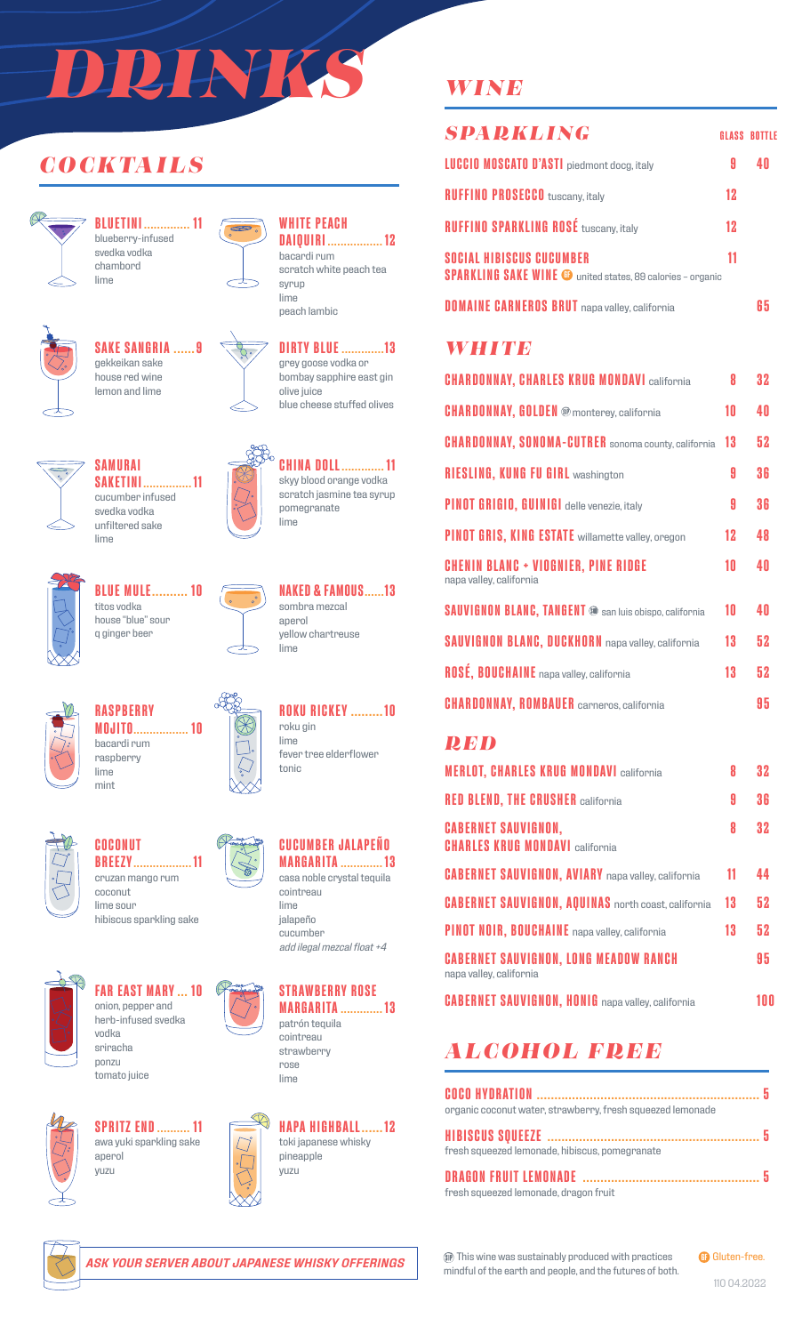# *DRINKS*

### *COCKTAILS*



**BLUETINI .............. 11** blueberry-infused svedka vodka chambord lime



# **SAKE SANGRIA ......9**



gekkeikan sake house red wine lemon and lime



#### lime peach lambic **DIRTY BLUE .............13**

 $\infty$ 

grey goose vodka or bombay sapphire east gin olive juice blue cheese stuffed olives

**CHINA DOLL............. 11** skyy blood orange vodka scratch jasmine tea syrup

pomegranate lime

**WHITE PEACH**

bacardi rum

syrup

**DAIQUIRI ................. 12**

scratch white peach tea



lime

**SAKETINI............... 11** cucumber infused unfiltered sake



**BLUE MULE.......... 10** titos vodka house "blue" sour q ginger beer



**NAKED & FAMOUS......13** sombra mezcal aperol yellow chartreuse lime

**ROKU RICKEY .........10**

fever tree elderflower

roku gin lime

tonic



**RASPBERRY MOJITO................. 10** bacardi rum raspberry lime mint



**COCONUT BREEZY.................. 11** cruzan mango rum coconut lime sour

hibiscus sparkling sake



**FAR EAST MARY ... 10** onion, pepper and herb-infused svedka vodka sriracha

ponzu

tomato juice



**SPRITZ END.......... 11** awa yuki sparkling sake aperol yuzu





cointreau lime jalapeño cucumber *add ilegal mezcal float +4*



**MARGARITA ............. 13** patrón tequila



**HAPA HIGHBALL......12** toki japanese whisky

#### *WINE*

| <b>SPARKLING</b>                                                                              |    | <b>GLASS BOTTLE</b> |
|-----------------------------------------------------------------------------------------------|----|---------------------|
| <b>LUCCIO MOSCATO D'ASTI</b> piedmont docg, italy                                             | 9  | 40                  |
| <b>RUFFINO PROSECCO</b> tuscany, italy                                                        | 12 |                     |
| <b>RUFFINO SPARKLING ROSÉ tuscany, italy</b>                                                  | 12 |                     |
| SOCIAL HIBISCUS CUCUMBER<br><b>SPARKLING SAKE WINE @</b> united states, 89 calories - organic | 11 |                     |
| <b>DOMAINE CARNEROS BRUT</b> napa valley, california                                          |    | 65                  |
| <b>WHITP</b>                                                                                  |    |                     |
| <b>CHARDONNAY, CHARLES KRUG MONDAVI california</b>                                            | 8  | 32                  |
| <b>CHARDONNAY, GOLDEN</b> <sup>®</sup> monterey, california                                   | 10 | 40                  |
| CHARDONNAV SONOMA-CUTRER conomo county colifornia 13                                          |    | 52                  |

| <b>CHARDONNAY, SONOMA-CUTRER</b> sonoma county, california     | 13      | 52 |
|----------------------------------------------------------------|---------|----|
| <b>RIESLING, KUNG FU GIRL washington</b>                       | 9       | 36 |
| PINOT GRIGIO, GUINIGI delle venezie, italy                     | 9       | 36 |
| PINOT GRIS, KING ESTATE willamette valley, oregon              | $12 \,$ | 48 |
| CHENIN BLANC + VIOGNIER, PINE RIDGE<br>napa valley, california | 10      | 40 |
| <b>SAUVIGNON BLANC, TANGENT</b> @ san luis obispo, california  | 10      | 40 |
| <b>SAUVIGNON BLANC, DUCKHORN</b> napa valley, california       | 13      | 52 |
| ROSÉ, BOUCHAINE napa valley, california                        | 13      | 52 |
| <b>CHARDONNAY, ROMBAUER</b> carneros, california               |         | 95 |
|                                                                |         |    |

#### *RED*

| <b>MERLOT, CHARLES KRUG MONDAVI california</b>                          | 8  | 32  |
|-------------------------------------------------------------------------|----|-----|
| <b>RED BLEND, THE CRUSHER california</b>                                | 9  | 36  |
| <b>CABERNET SAUVIGNON,</b><br><b>CHARLES KRUG MONDAVI california</b>    | 8  | 32  |
| <b>CABERNET SAUVIGNON, AVIARY</b> napa valley, california               | 11 | 44  |
| <b>CABERNET SAUVIGNON, AQUINAS</b> north coast, california              | 13 | 52  |
| PINOT NOIR, BOUCHAINE napa valley, california                           | 13 | 52  |
| <b>CABERNET SAUVIGNON, LONG MEADOW RANCH</b><br>napa valley, california |    | 95  |
| <b>CABERNET SAUVIGNON. HONIG</b> napa valley, california                |    | 100 |

## *ALCOHOL FREE*

| organic coconut water, strawberry, fresh squeezed lemonade |  |
|------------------------------------------------------------|--|
| fresh squeezed lemonade, hibiscus, pomegranate             |  |
| fresh squeezed lemonade, dragon fruit                      |  |

This wine was sustainably produced with practices mindful of the earth and people, and the futures of both. **GB** Gluten-free.